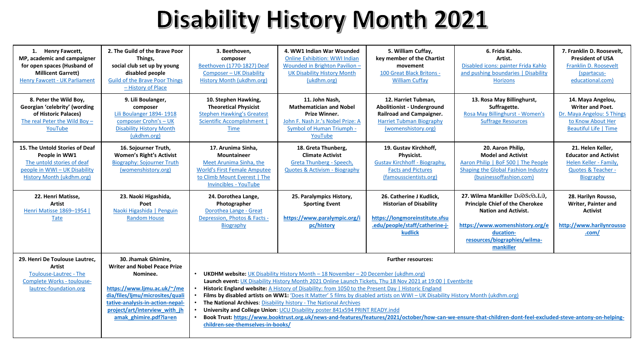## Disability History Month 2021

| 1. Henry Fawcett,<br>MP, academic and campaigner<br>for open spaces (Husband of<br><b>Millicent Garrett)</b><br><b>Henry Fawcett - UK Parliament</b> | 2. The Guild of the Brave Poor<br>Things.<br>social club set up by young<br>disabled people<br><b>Guild of the Brave Poor Things</b><br>- History of Place | 3. Beethoven,<br>composer<br>Beethoven (1770-1827) Deaf<br><b>Composer - UK Disability</b><br>History Month (ukdhm.org)                                             | 4. WW1 Indian War Wounded<br><b>Online Exhibition: WWI Indian</b><br>Wounded in Brighton Pavilion -<br><b>UK Disability History Month</b><br>(ukdhm.org) | 5. William Cuffay,<br>key member of the Chartist<br>movement<br>100 Great Black Britons -<br><b>William Cuffay</b>                                    | 6. Frida Kahlo.<br>Artist.<br>Disabled icons: painter Frida Kahlo<br>and pushing boundaries   Disability<br><b>Horizons</b>                                        | 7. Franklin D. Roosevelt.<br><b>President of USA</b><br>Franklin D. Roosevelt<br>(spartacus-<br>educational.com)                 |
|------------------------------------------------------------------------------------------------------------------------------------------------------|------------------------------------------------------------------------------------------------------------------------------------------------------------|---------------------------------------------------------------------------------------------------------------------------------------------------------------------|----------------------------------------------------------------------------------------------------------------------------------------------------------|-------------------------------------------------------------------------------------------------------------------------------------------------------|--------------------------------------------------------------------------------------------------------------------------------------------------------------------|----------------------------------------------------------------------------------------------------------------------------------|
| 8. Peter the Wild Boy,<br>Georgian 'celebrity' (wording<br>of Historic Palaces)<br>The real Peter the Wild Boy $-$<br>YouTube                        | 9. Lili Boulanger,<br>composer<br>Lili Boulanger 1894-1918<br>composer Crohn's - UK<br><b>Disability History Month</b><br>(ukdhm.org)                      | 10. Stephen Hawking,<br><b>Theoretical Physicist</b><br><b>Stephen Hawking's Greatest</b><br>Scientific Accomplishment  <br><b>Time</b>                             | 11. John Nash,<br><b>Mathematician and Nobel</b><br>Prize Winner.<br>John F. Nash Jr.'s Nobel Prize: A<br><b>Symbol of Human Triumph -</b><br>YouTube    | 12. Harriet Tubman,<br><b>Abolitionist - Underground</b><br><b>Railroad and Campaigner.</b><br><b>Harriet Tubman Biography</b><br>(womenshistory.org) | 13. Rosa May Billinghurst,<br>Suffragette.<br>Rosa May Billinghurst - Women's<br><b>Suffrage Resources</b>                                                         | 14. Maya Angelou,<br><b>Writer and Poet.</b><br>Dr. Maya Angelou: 5 Things<br>to Know About Her<br><b>Beautiful Life   Time</b>  |
| 15. The Untold Stories of Deaf<br>People in WW1<br>The untold stories of deaf<br>people in WWI-UK Disability<br>History Month (ukdhm.org)            | 16. Sojourner Truth,<br><b>Women's Right's Activist</b><br><b>Biography: Sojourner Truth</b><br>(womenshistory.org)                                        | 17. Arunima Sinha.<br>Mountaineer<br>Meet Arunima Sinha, the<br><b>World's First Female Amputee</b><br>to Climb Mount Everest   The<br><b>Invincibles - YouTube</b> | 18. Greta Thunberg,<br><b>Climate Activist</b><br>Greta Thunberg - Speech.<br><b>Quotes &amp; Activism - Biography</b>                                   | 19. Gustav Kirchhoff.<br>Physicist.<br><b>Gustav Kirchhoff - Biography.</b><br><b>Facts and Pictures</b><br>(famousscientists.org)                    | 20. Aaron Philip,<br><b>Model and Activist</b><br>Aaron Philip   BoF 500   The People<br>Shaping the Global Fashion Industry<br>(businessoffashion.com)            | 21. Helen Keller,<br><b>Educator and Activist</b><br>Helen Keller - Family,<br><b>Quotes &amp; Teacher -</b><br><b>Biography</b> |
| 22. Henri Matisse,                                                                                                                                   | 23. Naoki Higashida,                                                                                                                                       | 24. Dorothea Lange,                                                                                                                                                 |                                                                                                                                                          |                                                                                                                                                       | 27. Wilma Mankiller DoOScoJ.A,                                                                                                                                     |                                                                                                                                  |
| Artist<br>Henri Matisse 1869-1954  <br>Tate                                                                                                          | Poet<br>Naoki Higashida   Penguin<br><b>Random House</b>                                                                                                   | Photographer<br>Dorothea Lange - Great<br>Depression, Photos & Facts -<br>Biography                                                                                 | 25. Paralympics History,<br><b>Sporting Event</b><br>https://www.paralympic.org/i<br>pc/history                                                          | 26. Catherine J Kudlick,<br><b>Historian of Disability</b><br>https://longmoreinstitute.sfsu<br>.edu/people/staff/catherine-j-<br><b>kudlick</b>      | <b>Principle Chief of the Cherokee</b><br><b>Nation and Activist.</b><br>https://www.womenshistory.org/e<br>ducation-<br>resources/biographies/wilma-<br>mankiller | 28. Harilyn Rousso,<br>Writer, Painter and<br><b>Activist</b><br>http://www.harilynrousso<br>.com/                               |